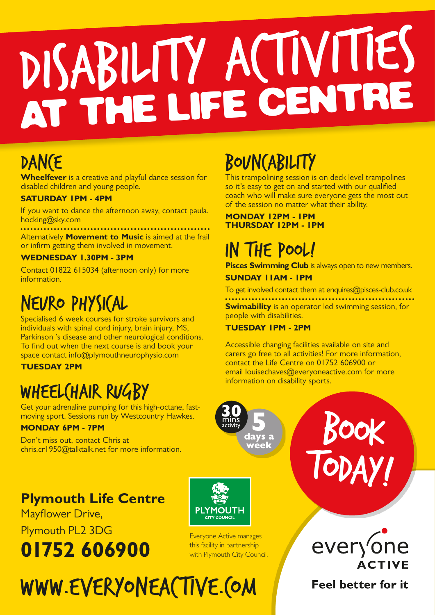# DISABILITY ACTIVITIES AT THE LIFE CENTRE

## DAN(E

**Wheelfever** is a creative and playful dance session for disabled children and young people.

#### **SATURDAY 1PM - 4PM**

If you want to dance the afternoon away, contact paula. hocking@sky.com

Alternatively **Movement to Music** is aimed at the frail or infirm getting them involved in movement.

#### **WEDNESDAY 1.30PM - 3PM**

Contact 01822 615034 (afternoon only) for more information.

## NEURO PHYSICAL

Specialised 6 week courses for stroke survivors and individuals with spinal cord injury, brain injury, MS, Parkinson 's disease and other neurological conditions. To find out when the next course is and book your space contact info@plymouthneurophysio.com

#### **TUESDAY 2PM**

## WHEEL (HAIR RUGBY

Get your adrenaline pumping for this high-octane, fastmoving sport. Sessions run by Westcountry Hawkes.

#### **MONDAY 6PM - 7PM**

Don't miss out, contact Chris at chris.cr1950@talktalk.net for more information.

## **Plymouth Life Centre**

Mayflower Drive,

## Plymouth PL2 3DG **01752 606900**



Everyone Active manages this facility in partnership with Plymouth City Council.

# WWW.EVERYONEACTIVE.COM

## BOUNCABILITY

This trampolining session is on deck level trampolines so it's easy to get on and started with our qualified coach who will make sure everyone gets the most out of the session no matter what their ability.

#### **MONDAY 12PM - 1PM THURSDAY 12PM - 1PM**

## IN THE POOL!

**Pisces Swimming Club** is always open to new members.

#### **SUNDAY 11AM - 1PM**

To get involved contact them at enquires@pisces-club.co.uk **Swimability** is an operator led swimming session, for people with disabilities.

#### **TUESDAY 1PM - 2PM**

days a<br>week

Accessible changing facilities available on site and carers go free to all activities! For more information, contact the Life Centre on 01752 606900 or email louisechaves@everyoneactive.com for more information on disability sports.



BOOK

TODAY!

### **Feel better for it**